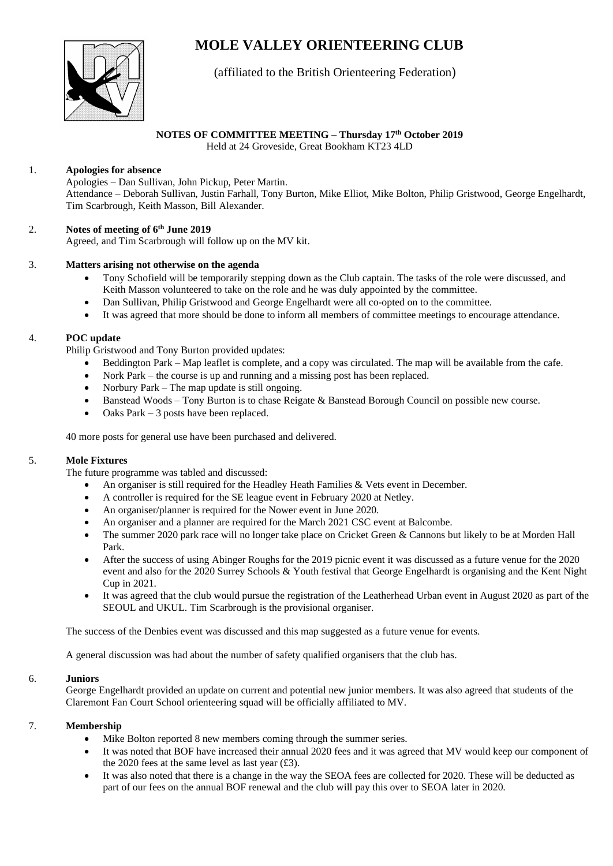# **MOLE VALLEY ORIENTEERING CLUB**



# (affiliated to the British Orienteering Federation)

# **NOTES OF COMMITTEE MEETING – Thursday 17th October 2019**

Held at 24 Groveside, Great Bookham KT23 4LD

# 1. **Apologies for absence**

Apologies – Dan Sullivan, John Pickup, Peter Martin. Attendance – Deborah Sullivan, Justin Farhall, Tony Burton, Mike Elliot, Mike Bolton, Philip Gristwood, George Engelhardt, Tim Scarbrough, Keith Masson, Bill Alexander.

# 2. **Notes of meeting of 6 th June 2019**

Agreed, and Tim Scarbrough will follow up on the MV kit.

# 3. **Matters arising not otherwise on the agenda**

- Tony Schofield will be temporarily stepping down as the Club captain. The tasks of the role were discussed, and Keith Masson volunteered to take on the role and he was duly appointed by the committee.
- Dan Sullivan, Philip Gristwood and George Engelhardt were all co-opted on to the committee.
- It was agreed that more should be done to inform all members of committee meetings to encourage attendance.

# 4. **POC update**

Philip Gristwood and Tony Burton provided updates:

- Beddington Park Map leaflet is complete, and a copy was circulated. The map will be available from the cafe.
- Nork Park the course is up and running and a missing post has been replaced.
- Norbury Park The map update is still ongoing.
- Banstead Woods Tony Burton is to chase Reigate & Banstead Borough Council on possible new course.
- Oaks Park  $-3$  posts have been replaced.

40 more posts for general use have been purchased and delivered.

# 5. **Mole Fixtures**

The future programme was tabled and discussed:

- An organiser is still required for the Headley Heath Families & Vets event in December.
- A controller is required for the SE league event in February 2020 at Netley.
- An organiser/planner is required for the Nower event in June 2020.
- An organiser and a planner are required for the March 2021 CSC event at Balcombe.
- The summer 2020 park race will no longer take place on Cricket Green & Cannons but likely to be at Morden Hall Park.
- After the success of using Abinger Roughs for the 2019 picnic event it was discussed as a future venue for the 2020 event and also for the 2020 Surrey Schools & Youth festival that George Engelhardt is organising and the Kent Night Cup in 2021.
- It was agreed that the club would pursue the registration of the Leatherhead Urban event in August 2020 as part of the SEOUL and UKUL. Tim Scarbrough is the provisional organiser.

The success of the Denbies event was discussed and this map suggested as a future venue for events.

A general discussion was had about the number of safety qualified organisers that the club has.

# 6. **Juniors**

George Engelhardt provided an update on current and potential new junior members. It was also agreed that students of the Claremont Fan Court School orienteering squad will be officially affiliated to MV.

# 7. **Membership**

- Mike Bolton reported 8 new members coming through the summer series.
- It was noted that BOF have increased their annual 2020 fees and it was agreed that MV would keep our component of the 2020 fees at the same level as last year (£3).
- It was also noted that there is a change in the way the SEOA fees are collected for 2020. These will be deducted as part of our fees on the annual BOF renewal and the club will pay this over to SEOA later in 2020.